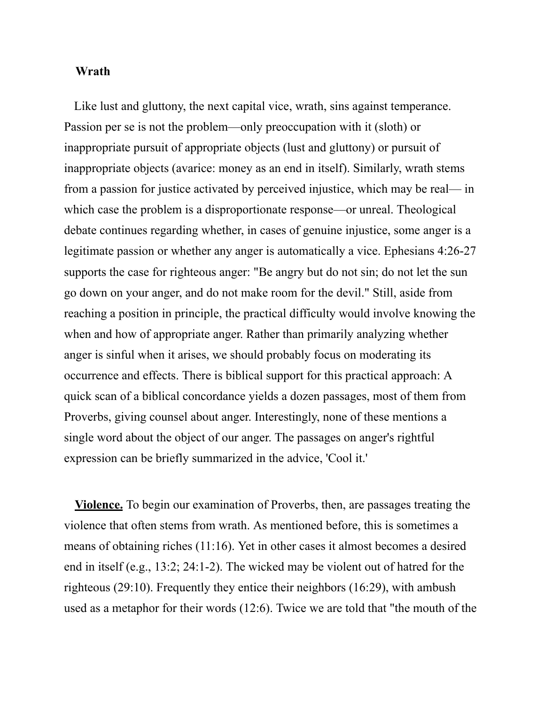## **Wrath**

Like lust and gluttony, the next capital vice, wrath, sins against temperance. Passion per se is not the problem—only preoccupation with it (sloth) or inappropriate pursuit of appropriate objects (lust and gluttony) or pursuit of inappropriate objects (avarice: money as an end in itself). Similarly, wrath stems from a passion for justice activated by perceived injustice, which may be real— in which case the problem is a disproportionate response—or unreal. Theological debate continues regarding whether, in cases of genuine injustice, some anger is a legitimate passion or whether any anger is automatically a vice. Ephesians 4:26-27 supports the case for righteous anger: "Be angry but do not sin; do not let the sun go down on your anger, and do not make room for the devil." Still, aside from reaching a position in principle, the practical difficulty would involve knowing the when and how of appropriate anger. Rather than primarily analyzing whether anger is sinful when it arises, we should probably focus on moderating its occurrence and effects. There is biblical support for this practical approach: A quick scan of a biblical concordance yields a dozen passages, most of them from Proverbs, giving counsel about anger. Interestingly, none of these mentions a single word about the object of our anger. The passages on anger's rightful expression can be briefly summarized in the advice, 'Cool it.'

**Violence.** To begin our examination of Proverbs, then, are passages treating the violence that often stems from wrath. As mentioned before, this is sometimes a means of obtaining riches (11:16). Yet in other cases it almost becomes a desired end in itself (e.g., 13:2; 24:1-2). The wicked may be violent out of hatred for the righteous (29:10). Frequently they entice their neighbors (16:29), with ambush used as a metaphor for their words (12:6). Twice we are told that "the mouth of the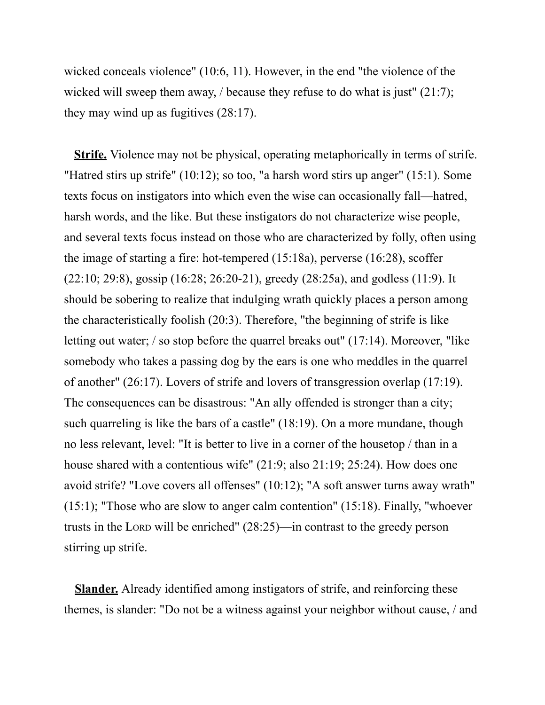wicked conceals violence" (10:6, 11). However, in the end "the violence of the wicked will sweep them away, */* because they refuse to do what is just" (21:7); they may wind up as fugitives (28:17).

**Strife.** Violence may not be physical, operating metaphorically in terms of strife. "Hatred stirs up strife" (10:12); so too, "a harsh word stirs up anger" (15:1). Some texts focus on instigators into which even the wise can occasionally fall—hatred, harsh words, and the like. But these instigators do not characterize wise people, and several texts focus instead on those who are characterized by folly, often using the image of starting a fire: hot-tempered (15:18a), perverse (16:28), scoffer (22:10; 29:8), gossip (16:28; 26:20-21), greedy (28:25a), and godless (11:9). It should be sobering to realize that indulging wrath quickly places a person among the characteristically foolish (20:3). Therefore, "the beginning of strife is like letting out water; / so stop before the quarrel breaks out" (17:14). Moreover, "like somebody who takes a passing dog by the ears is one who meddles in the quarrel of another" (26:17). Lovers of strife and lovers of transgression overlap (17:19). The consequences can be disastrous: "An ally offended is stronger than a city; such quarreling is like the bars of a castle" (18:19). On a more mundane, though no less relevant, level: "It is better to live in a corner of the housetop / than in a house shared with a contentious wife" (21:9; also 21:19; 25:24). How does one avoid strife? "Love covers all offenses" (10:12); "A soft answer turns away wrath" (15:1); "Those who are slow to anger calm contention" (15:18). Finally, "whoever trusts in the LORD will be enriched" (28:25)—in contrast to the greedy person stirring up strife.

**Slander.** Already identified among instigators of strife, and reinforcing these themes, is slander: "Do not be a witness against your neighbor without cause, / and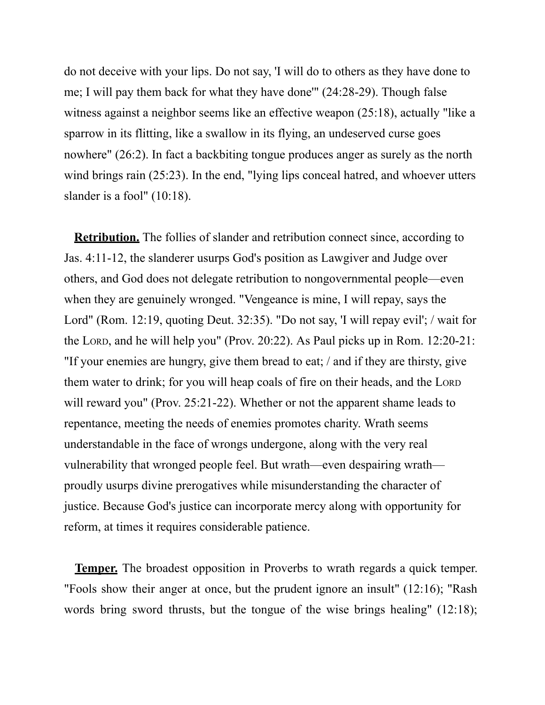do not deceive with your lips. Do not say, 'I will do to others as they have done to me; I will pay them back for what they have done'" (24:28-29). Though false witness against a neighbor seems like an effective weapon (25:18), actually "like a sparrow in its flitting, like a swallow in its flying, an undeserved curse goes nowhere" (26:2). In fact a backbiting tongue produces anger as surely as the north wind brings rain (25:23). In the end, "lying lips conceal hatred, and whoever utters slander is a fool" (10:18).

**Retribution.** The follies of slander and retribution connect since, according to Jas. 4:11-12, the slanderer usurps God's position as Lawgiver and Judge over others, and God does not delegate retribution to nongovernmental people—even when they are genuinely wronged. "Vengeance is mine, I will repay, says the Lord" (Rom. 12:19, quoting Deut. 32:35). "Do not say, 'I will repay evil'; / wait for the LORD, and he will help you" (Prov. 20:22). As Paul picks up in Rom. 12:20-21: "If your enemies are hungry, give them bread to eat; / and if they are thirsty, give them water to drink; for you will heap coals of fire on their heads, and the LORD will reward you" (Prov. 25:21-22). Whether or not the apparent shame leads to repentance, meeting the needs of enemies promotes charity. Wrath seems understandable in the face of wrongs undergone, along with the very real vulnerability that wronged people feel. But wrath—even despairing wrath proudly usurps divine prerogatives while misunderstanding the character of justice. Because God's justice can incorporate mercy along with opportunity for reform, at times it requires considerable patience.

**Temper.** The broadest opposition in Proverbs to wrath regards a quick temper. "Fools show their anger at once, but the prudent ignore an insult" (12:16); "Rash words bring sword thrusts, but the tongue of the wise brings healing" (12:18);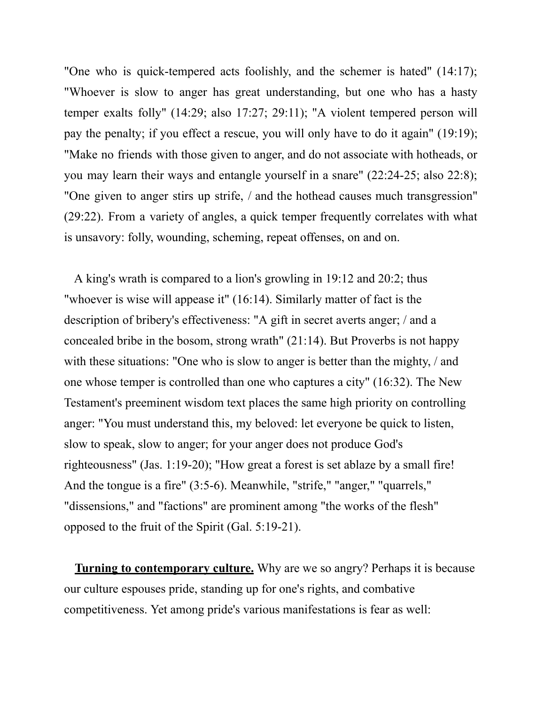"One who is quick-tempered acts foolishly, and the schemer is hated" (14:17); "Whoever is slow to anger has great understanding, but one who has a hasty temper exalts folly" (14:29; also 17:27; 29:11); "A violent tempered person will pay the penalty; if you effect a rescue, you will only have to do it again" (19:19); "Make no friends with those given to anger, and do not associate with hotheads, or you may learn their ways and entangle yourself in a snare" (22:24-25; also 22:8); "One given to anger stirs up strife, / and the hothead causes much transgression" (29:22). From a variety of angles, a quick temper frequently correlates with what is unsavory: folly, wounding, scheming, repeat offenses, on and on.

A king's wrath is compared to a lion's growling in 19:12 and 20:2; thus "whoever is wise will appease it" (16:14). Similarly matter of fact is the description of bribery's effectiveness: "A gift in secret averts anger; / and a concealed bribe in the bosom, strong wrath" (21:14). But Proverbs is not happy with these situations: "One who is slow to anger is better than the mighty, / and one whose temper is controlled than one who captures a city" (16:32). The New Testament's preeminent wisdom text places the same high priority on controlling anger: "You must understand this, my beloved: let everyone be quick to listen, slow to speak, slow to anger; for your anger does not produce God's righteousness" (Jas. 1:19-20); "How great a forest is set ablaze by a small fire! And the tongue is a fire" (3:5-6). Meanwhile, "strife," "anger," "quarrels," "dissensions," and "factions" are prominent among "the works of the flesh" opposed to the fruit of the Spirit (Gal. 5:19-21).

**Turning to contemporary culture.** Why are we so angry? Perhaps it is because our culture espouses pride, standing up for one's rights, and combative competitiveness. Yet among pride's various manifestations is fear as well: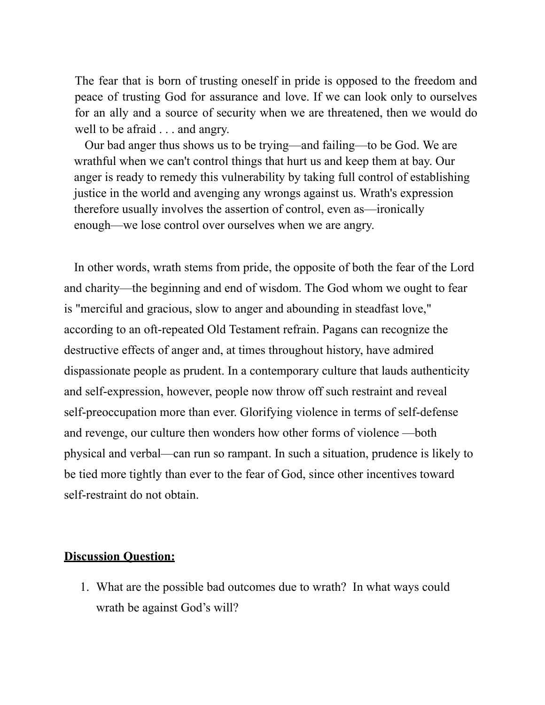The fear that is born of trusting oneself in pride is opposed to the freedom and peace of trusting God for assurance and love. If we can look only to ourselves for an ally and a source of security when we are threatened, then we would do well to be afraid . . . and angry.

Our bad anger thus shows us to be trying—and failing—to be God. We are wrathful when we can't control things that hurt us and keep them at bay. Our anger is ready to remedy this vulnerability by taking full control of establishing justice in the world and avenging any wrongs against us. Wrath's expression therefore usually involves the assertion of control, even as—ironically enough—we lose control over ourselves when we are angry.

In other words, wrath stems from pride, the opposite of both the fear of the Lord and charity—the beginning and end of wisdom. The God whom we ought to fear is "merciful and gracious, slow to anger and abounding in steadfast love," according to an oft-repeated Old Testament refrain. Pagans can recognize the destructive effects of anger and, at times throughout history, have admired dispassionate people as prudent. In a contemporary culture that lauds authenticity and self-expression, however, people now throw off such restraint and reveal self-preoccupation more than ever. Glorifying violence in terms of self-defense and revenge, our culture then wonders how other forms of violence —both physical and verbal—can run so rampant. In such a situation, prudence is likely to be tied more tightly than ever to the fear of God, since other incentives toward self-restraint do not obtain.

## **Discussion Question:**

1. What are the possible bad outcomes due to wrath? In what ways could wrath be against God's will?